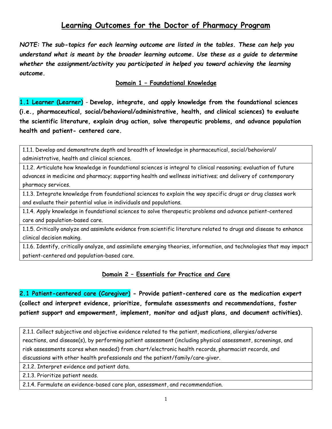# **Learning Outcomes for the Doctor of Pharmacy Program**

*NOTE: The sub-topics for each learning outcome are listed in the tables. These can help you understand what is meant by the broader learning outcome. Use these as a guide to determine whether the assignment/activity you participated in helped you toward achieving the learning outcome.*

#### **Domain 1 – Foundational Knowledge**

**1.1 Learner (Learner)** - **Develop, integrate, and apply knowledge from the foundational sciences (i.e., pharmaceutical, social/behavioral/administrative, health, and clinical sciences) to evaluate the scientific literature, explain drug action, solve therapeutic problems, and advance population health and patient- centered care.**

1.1.1. Develop and demonstrate depth and breadth of knowledge in pharmaceutical, social/behavioral/ administrative, health and clinical sciences.

1.1.2. Articulate how knowledge in foundational sciences is integral to clinical reasoning; evaluation of future advances in medicine and pharmacy; supporting health and wellness initiatives; and delivery of contemporary pharmacy services.

1.1.3. Integrate knowledge from foundational sciences to explain the way specific drugs or drug classes work and evaluate their potential value in individuals and populations.

1.1.4. Apply knowledge in foundational sciences to solve therapeutic problems and advance patient-centered care and population-based care.

1.1.5. Critically analyze and assimilate evidence from scientific literature related to drugs and disease to enhance clinical decision making.

1.1.6. Identify, critically analyze, and assimilate emerging theories, information, and technologies that may impact patient-centered and population-based care.

#### **Domain 2 – Essentials for Practice and Care**

**2.1 Patient-centered care (Caregiver) - Provide patient-centered care as the medication expert (collect and interpret evidence, prioritize, formulate assessments and recommendations, foster patient support and empowerment, implement, monitor and adjust plans, and document activities).**

2.1.1. Collect subjective and objective evidence related to the patient, medications, allergies/adverse reactions, and disease(s), by performing patient assessment (including physical assessment, screenings, and risk assessments scores when needed) from chart/electronic health records, pharmacist records, and discussions with other health professionals and the patient/family/care-giver.

2.1.2. Interpret evidence and patient data.

2.1.3. Prioritize patient needs.

2.1.4. Formulate an evidence-based care plan, assessment, and recommendation.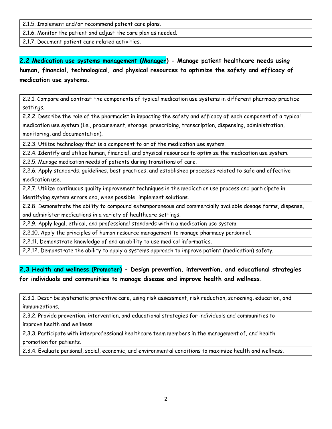2.1.5. Implement and/or recommend patient care plans.

2.1.6. Monitor the patient and adjust the care plan as needed.

2.1.7. Document patient care related activities.

# **2.2 Medication use systems management (Manager) - Manage patient healthcare needs using human, financial, technological, and physical resources to optimize the safety and efficacy of medication use systems.**

2.2.1. Compare and contrast the components of typical medication use systems in different pharmacy practice settings.

2.2.2. Describe the role of the pharmacist in impacting the safety and efficacy of each component of a typical medication use system (i.e., procurement, storage, prescribing, transcription, dispensing, administration, monitoring, and documentation).

2.2.3. Utilize technology that is a component to or of the medication use system.

2.2.4. Identify and utilize human, financial, and physical resources to optimize the medication use system.

2.2.5. Manage medication needs of patients during transitions of care.

2.2.6. Apply standards, guidelines, best practices, and established processes related to safe and effective medication use.

2.2.7. Utilize continuous quality improvement techniques in the medication use process and participate in identifying system errors and, when possible, implement solutions.

2.2.8. Demonstrate the ability to compound extemporaneous and commercially available dosage forms, dispense, and administer medications in a variety of healthcare settings.

2.2.9. Apply legal, ethical, and professional standards within a medication use system.

2.2.10. Apply the principles of human resource management to manage pharmacy personnel.

2.2.11. Demonstrate knowledge of and an ability to use medical informatics.

2.2.12. Demonstrate the ability to apply a systems approach to improve patient (medication) safety.

### **2.3 Health and wellness (Promoter) - Design prevention, intervention, and educational strategies for individuals and communities to manage disease and improve health and wellness.**

2.3.1. Describe systematic preventive care, using risk assessment, risk reduction, screening, education, and immunizations.

2.3.2. Provide prevention, intervention, and educational strategies for individuals and communities to improve health and wellness.

2.3.3. Participate with interprofessional healthcare team members in the management of, and health promotion for patients.

2.3.4. Evaluate personal, social, economic, and environmental conditions to maximize health and wellness.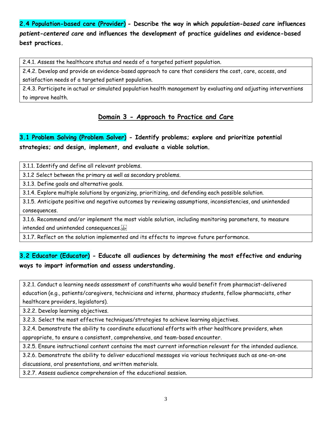**2.4 Population-based care (Provider) - Describe the way in which** *population-based care* **influences** *patient-centered care* **and influences the development of practice guidelines and evidence-based best practices.**

2.4.1. Assess the healthcare status and needs of a targeted patient population.

2.4.2. Develop and provide an evidence-based approach to care that considers the cost, care, access, and

satisfaction needs of a targeted patient population.

2.4.3. Participate in actual or simulated population health management by evaluating and adjusting interventions to improve health.

### **Domain 3 - Approach to Practice and Care**

## **3.1 Problem Solving (Problem Solver) - Identify problems; explore and prioritize potential strategies; and design, implement, and evaluate a viable solution.**

3.1.1. Identify and define all relevant problems.

3.1.2 Select between the primary as well as secondary problems.

3.1.3. Define goals and alternative goals.

3.1.4. Explore multiple solutions by organizing, prioritizing, and defending each possible solution.

3.1.5. Anticipate positive and negative outcomes by reviewing assumptions, inconsistencies, and unintended consequences.

3.1.6. Recommend and/or implement the most viable solution, including monitoring parameters, to measure intended and unintended consequences.

3.1.7. Reflect on the solution implemented and its effects to improve future performance.

### **3.2 Educator (Educator) - Educate all audiences by determining the most effective and enduring ways to impart information and assess understanding.**

3.2.1. Conduct a learning needs assessment of constituents who would benefit from pharmacist-delivered education (e.g., patients/caregivers, technicians and interns, pharmacy students, fellow pharmacists, other healthcare providers, legislators).

3.2.2. Develop learning objectives.

3.2.3. Select the most effective techniques/strategies to achieve learning objectives.

3.2.4. Demonstrate the ability to coordinate educational efforts with other healthcare providers, when

appropriate, to ensure a consistent, comprehensive, and team-based encounter.

3.2.5. Ensure instructional content contains the most current information relevant for the intended audience.

3.2.6. Demonstrate the ability to deliver educational messages via various techniques such as one-on-one

discussions, oral presentations, and written materials.

3.2.7. Assess audience comprehension of the educational session.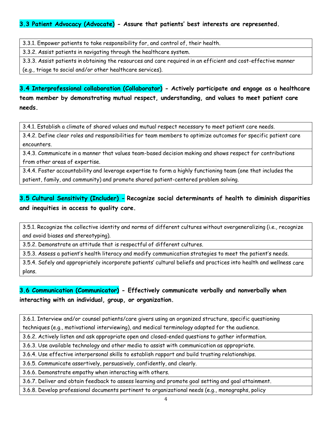### **3.3 Patient Advocacy (Advocate) - Assure that patients' best interests are represented.**

3.3.1. Empower patients to take responsibility for, and control of, their health.

3.3.2. Assist patients in navigating through the healthcare system.

3.3.3. Assist patients in obtaining the resources and care required in an efficient and cost-effective manner

(e.g., triage to social and/or other healthcare services).

**3.4 Interprofessional collaboration (Collaborator) - Actively participate and engage as a healthcare team member by demonstrating mutual respect, understanding, and values to meet patient care needs.**

3.4.1. Establish a climate of shared values and mutual respect necessary to meet patient care needs.

3.4.2. Define clear roles and responsibilities for team members to optimize outcomes for specific patient care encounters.

3.4.3. Communicate in a manner that values team-based decision making and shows respect for contributions from other areas of expertise.

3.4.4. Foster accountability and leverage expertise to form a highly functioning team (one that includes the patient, family, and community) and promote shared patient-centered problem solving.

# **3.5 Cultural Sensitivity (Includer) - Recognize social determinants of health to diminish disparities and inequities in access to quality care.**

3.5.1. Recognize the collective identity and norms of different cultures without overgeneralizing (i.e., recognize and avoid biases and stereotyping).

3.5.2. Demonstrate an attitude that is respectful of different cultures.

3.5.3. Assess a patient's health literacy and modify communication strategies to meet the patient's needs.

3.5.4. Safely and appropriately incorporate patients' cultural beliefs and practices into health and wellness care plans.

### **3.6 Communication (Communicator) - Effectively communicate verbally and nonverbally when interacting with an individual, group, or organization.**

3.6.1. Interview and/or counsel patients/care givers using an organized structure, specific questioning techniques (e.g., motivational interviewing), and medical terminology adapted for the audience.

3.6.2. Actively listen and ask appropriate open and closed-ended questions to gather information.

3.6.3. Use available technology and other media to assist with communication as appropriate.

3.6.4. Use effective interpersonal skills to establish rapport and build trusting relationships.

3.6.5. Communicate assertively, persuasively, confidently, and clearly.

3.6.6. Demonstrate empathy when interacting with others.

3.6.7. Deliver and obtain feedback to assess learning and promote goal setting and goal attainment.

3.6.8. Develop professional documents pertinent to organizational needs (e.g., monographs, policy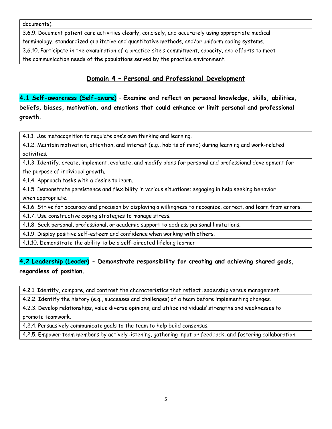documents).

3.6.9. Document patient care activities clearly, concisely, and accurately using appropriate medical terminology, standardized qualitative and quantitative methods, and/or uniform coding systems.

3.6.10. Participate in the examination of a practice site's commitment, capacity, and efforts to meet the communication needs of the populations served by the practice environment.

### **Domain 4 – Personal and Professional Development**

**4.1 Self-awareness (Self-aware)** - **Examine and reflect on personal knowledge, skills, abilities, beliefs, biases, motivation, and emotions that could enhance or limit personal and professional growth.**

4.1.1. Use metacognition to regulate one's own thinking and learning.

4.1.2. Maintain motivation, attention, and interest (e.g., habits of mind) during learning and work-related activities.

4.1.3. Identify, create, implement, evaluate, and modify plans for personal and professional development for the purpose of individual growth.

4.1.4. Approach tasks with a desire to learn.

4.1.5. Demonstrate persistence and flexibility in various situations; engaging in help seeking behavior when appropriate.

4.1.6. Strive for accuracy and precision by displaying a willingness to recognize, correct, and learn from errors.

4.1.7. Use constructive coping strategies to manage stress.

4.1.8. Seek personal, professional, or academic support to address personal limitations.

4.1.9. Display positive self-esteem and confidence when working with others.

4.1.10. Demonstrate the ability to be a self-directed lifelong learner.

### **4.2 Leadership (Leader) - Demonstrate responsibility for creating and achieving shared goals, regardless of position.**

4.2.1. Identify, compare, and contrast the characteristics that reflect leadership versus management.

4.2.2. Identify the history (e.g., successes and challenges) of a team before implementing changes.

4.2.3. Develop relationships, value diverse opinions, and utilize individuals' strengths and weaknesses to promote teamwork.

4.2.4. Persuasively communicate goals to the team to help build consensus.

4.2.5. Empower team members by actively listening, gathering input or feedback, and fostering collaboration.